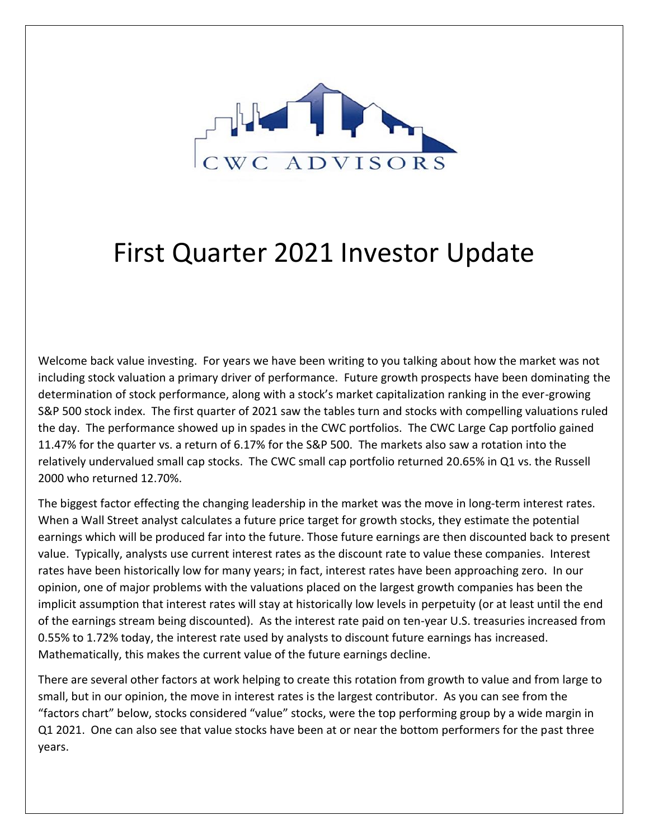

## First Quarter 2021 Investor Update

Welcome back value investing. For years we have been writing to you talking about how the market was not including stock valuation a primary driver of performance. Future growth prospects have been dominating the determination of stock performance, along with a stock's market capitalization ranking in the ever-growing S&P 500 stock index. The first quarter of 2021 saw the tables turn and stocks with compelling valuations ruled the day. The performance showed up in spades in the CWC portfolios. The CWC Large Cap portfolio gained 11.47% for the quarter vs. a return of 6.17% for the S&P 500. The markets also saw a rotation into the relatively undervalued small cap stocks. The CWC small cap portfolio returned 20.65% in Q1 vs. the Russell 2000 who returned 12.70%.

The biggest factor effecting the changing leadership in the market was the move in long-term interest rates. When a Wall Street analyst calculates a future price target for growth stocks, they estimate the potential earnings which will be produced far into the future. Those future earnings are then discounted back to present value. Typically, analysts use current interest rates as the discount rate to value these companies. Interest rates have been historically low for many years; in fact, interest rates have been approaching zero. In our opinion, one of major problems with the valuations placed on the largest growth companies has been the implicit assumption that interest rates will stay at historically low levels in perpetuity (or at least until the end of the earnings stream being discounted). As the interest rate paid on ten-year U.S. treasuries increased from 0.55% to 1.72% today, the interest rate used by analysts to discount future earnings has increased. Mathematically, this makes the current value of the future earnings decline.

There are several other factors at work helping to create this rotation from growth to value and from large to small, but in our opinion, the move in interest rates is the largest contributor. As you can see from the "factors chart" below, stocks considered "value" stocks, were the top performing group by a wide margin in Q1 2021. One can also see that value stocks have been at or near the bottom performers for the past three years.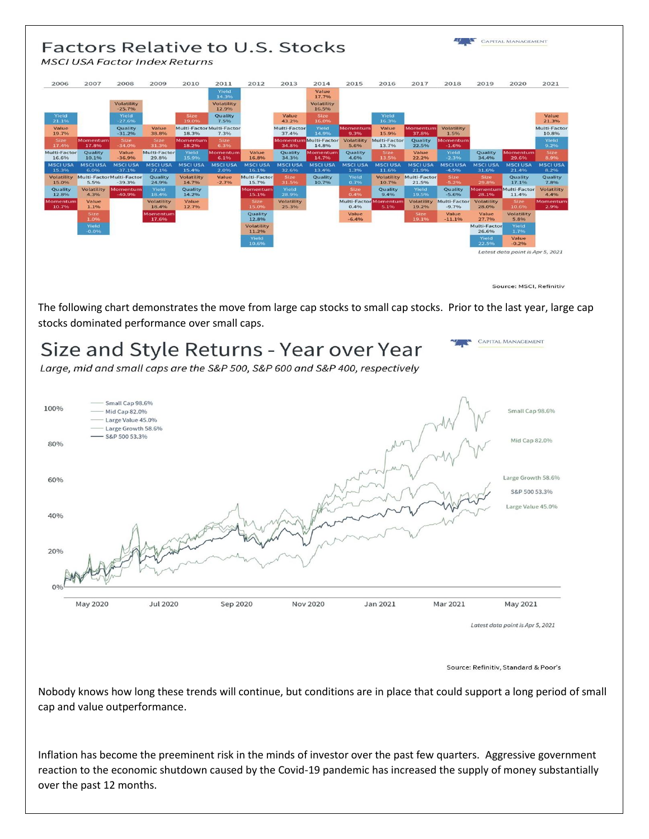

Source: MSCI, Refinitiv

The following chart demonstrates the move from large cap stocks to small cap stocks. Prior to the last year, large cap stocks dominated performance over small caps.



Source: Refinitiv, Standard & Poor's

Nobody knows how long these trends will continue, but conditions are in place that could support a long period of small cap and value outperformance.

Inflation has become the preeminent risk in the minds of investor over the past few quarters. Aggressive government reaction to the economic shutdown caused by the Covid-19 pandemic has increased the supply of money substantially over the past 12 months.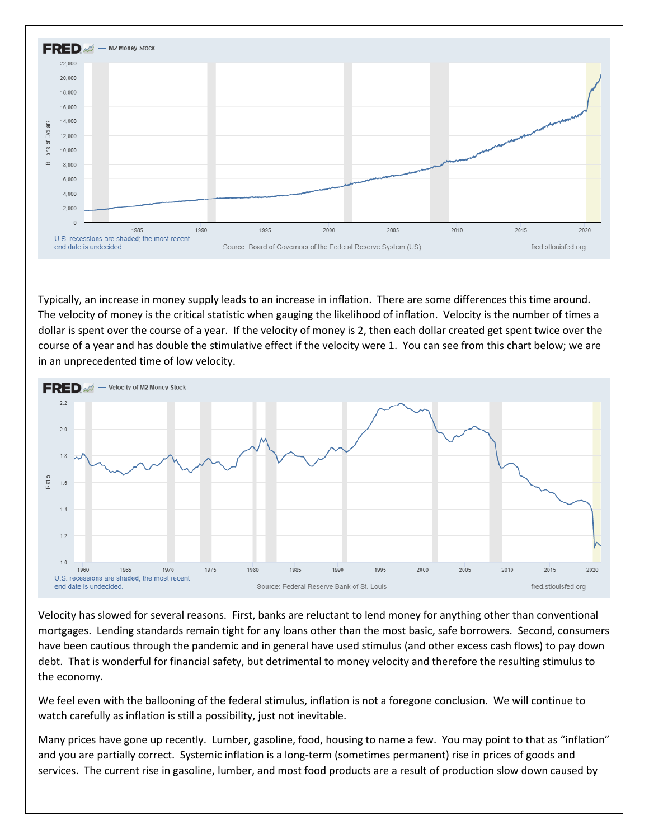

Typically, an increase in money supply leads to an increase in inflation. There are some differences this time around. The velocity of money is the critical statistic when gauging the likelihood of inflation. Velocity is the number of times a dollar is spent over the course of a year. If the velocity of money is 2, then each dollar created get spent twice over the course of a year and has double the stimulative effect if the velocity were 1. You can see from this chart below; we are in an unprecedented time of low velocity.



Velocity has slowed for several reasons. First, banks are reluctant to lend money for anything other than conventional mortgages. Lending standards remain tight for any loans other than the most basic, safe borrowers. Second, consumers have been cautious through the pandemic and in general have used stimulus (and other excess cash flows) to pay down debt. That is wonderful for financial safety, but detrimental to money velocity and therefore the resulting stimulus to the economy.

We feel even with the ballooning of the federal stimulus, inflation is not a foregone conclusion. We will continue to watch carefully as inflation is still a possibility, just not inevitable.

Many prices have gone up recently. Lumber, gasoline, food, housing to name a few. You may point to that as "inflation" and you are partially correct. Systemic inflation is a long-term (sometimes permanent) rise in prices of goods and services. The current rise in gasoline, lumber, and most food products are a result of production slow down caused by